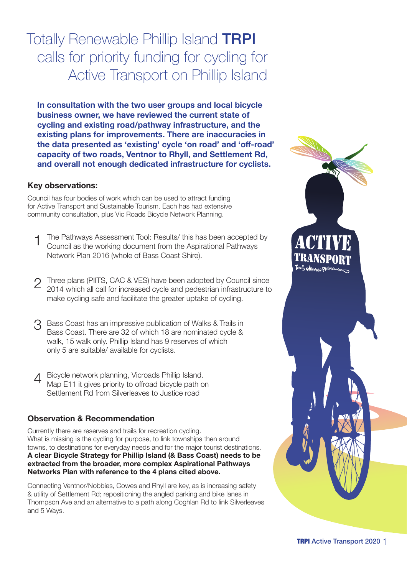Totally Renewable Phillip Island TRPI calls for priority funding for cycling for Active Transport on Phillip Island

**In consultation with the two user groups and local bicycle business owner, we have reviewed the current state of cycling and existing road/pathway infrastructure, and the existing plans for improvements. There are inaccuracies in the data presented as 'existing' cycle 'on road' and 'off-road' capacity of two roads, Ventnor to Rhyll, and Settlement Rd, and overall not enough dedicated infrastructure for cyclists.** 

### **Key observations:**

Council has four bodies of work which can be used to attract funding for Active Transport and Sustainable Tourism. Each has had extensive community consultation, plus Vic Roads Bicycle Network Planning.

- 1 The Pathways Assessment Tool: Results/ this has been accepted by Council as the working document from the Aspirational Pathways Network Plan 2016 (whole of Bass Coast Shire).
- 2 Three plans (PIITS, CAC & VES) have been adopted by Council since 2014 which all call for increased cycle and pedestrian infrastructure to make cycling safe and facilitate the greater uptake of cycling.
- 3 Bass Coast has an impressive publication of Walks & Trails in Bass Coast. There are 32 of which 18 are nominated cycle & walk, 15 walk only. Phillip Island has 9 reserves of which only 5 are suitable/ available for cyclists.
- 4 Bicycle network planning, Vicroads Phillip Island. Map E11 it gives priority to offroad bicycle path on Settlement Rd from Silverleaves to Justice road

### **Observation & Recommendation**

Currently there are reserves and trails for recreation cycling. What is missing is the cycling for purpose, to link townships then around towns, to destinations for everyday needs and for the major tourist destinations. **A clear Bicycle Strategy for Phillip Island (& Bass Coast) needs to be extracted from the broader, more complex Aspirational Pathways Networks Plan with reference to the 4 plans cited above.**

Connecting Ventnor/Nobbies, Cowes and Rhyll are key, as is increasing safety & utility of Settlement Rd; repositioning the angled parking and bike lanes in Thompson Ave and an alternative to a path along Coghlan Rd to link Silverleaves and 5 Ways.

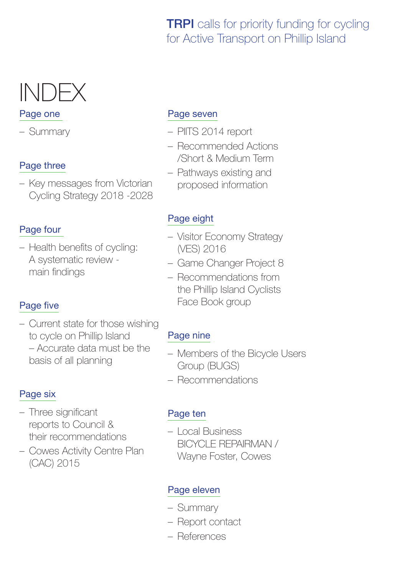### **TRPI** calls for priority funding for cycling for Active Transport on Phillip Island

# INDEX

### Page one

– Summary

### Page three

– Key messages from Victorian Cycling Strategy 2018 -2028

### Page four

– Health benefits of cycling: A systematic review main findings

### Page five

– Current state for those wishing to cycle on Phillip Island – Accurate data must be the basis of all planning

### Page six

- Three significant reports to Council & their recommendations
- Cowes Activity Centre Plan (CAC) 2015

### Page seven

- PIITS 2014 report
- Recommended Actions /Short & Medium Term
- Pathways existing and proposed information

### Page eight

- Visitor Economy Strategy (VES) 2016
- Game Changer Project 8
- Recommendations from the Phillip Island Cyclists Face Book group

### Page nine

- Members of the Bicycle Users Group (BUGS)
- Recommendations

### Page ten

– Local Business BICYCLE REPAIRMAN / Wayne Foster, Cowes

### Page eleven

- Summary
- Report contact
- References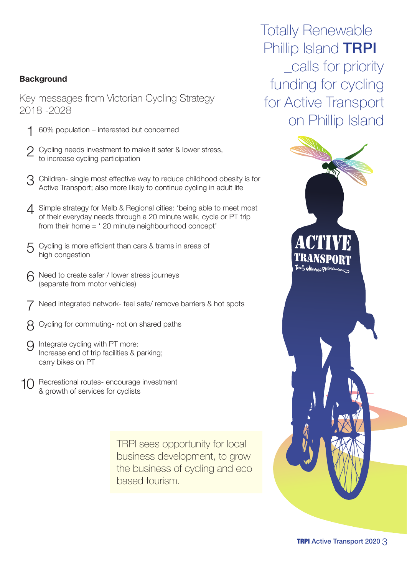### **Background**

Key messages from Victorian Cycling Strategy 2018 -2028

- 1 60% population interested but concerned
- Cycling needs investment to make it safer & lower stress, to increase cycling participation
- 3 Children- single most effective way to reduce childhood obesity is for Active Transport; also more likely to continue cycling in adult life
- △ Simple strategy for Melb & Regional cities: 'being able to meet most of their everyday needs through a 20 minute walk, cycle or PT trip from their home = ' 20 minute neighbourhood concept'
- 5 Cycling is more efficient than cars & trams in areas of high congestion
- 6 Need to create safer / lower stress journeys (separate from motor vehicles)
- Need integrated network- feel safe/ remove barriers & hot spots
- 8 Cycling for commuting- not on shared paths
- 9 Integrate cycling with PT more: Increase end of trip facilities & parking; carry bikes on PT
- 10 Recreational routes- encourage investment & growth of services for cyclists

TRPI sees opportunity for local business development, to grow the business of cycling and eco based tourism.

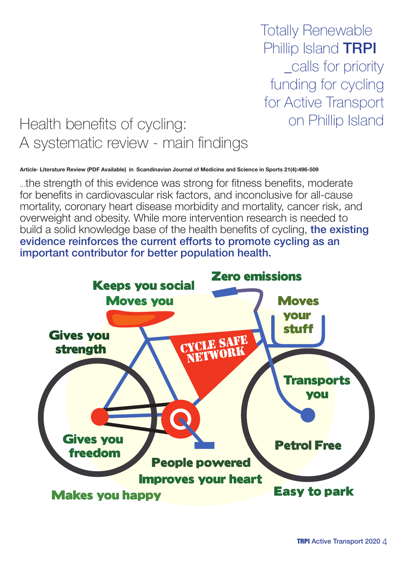Totally Renewable Phillip Island **TRPI** \_calls for priority funding for cycling for Active Transport

# Health benefits of cycling: on Phillip Island A systematic review - main findings

**Article· Literature Review (PDF Available) in Scandinavian Journal of Medicine and Science in Sports 21(4):496-509** 

...the strength of this evidence was strong for fitness benefits, moderate ...the strength of this evidence was strong for fitness benefits, moderate<br>for benefits in cardiovascular risk factors, and inconclusive for all-cause mortality, coronary heart disease morbidity and mortality, cancer risk, and mortality, coronary neart disease morbidity and mortality, cancer risk, and<br>overweight and obesity. While more intervention research is needed to build a solid knowledge base of the health benefits of cycling, the existing evidence reinforces the current efforts to promote cycling as an important contributor for better population health.

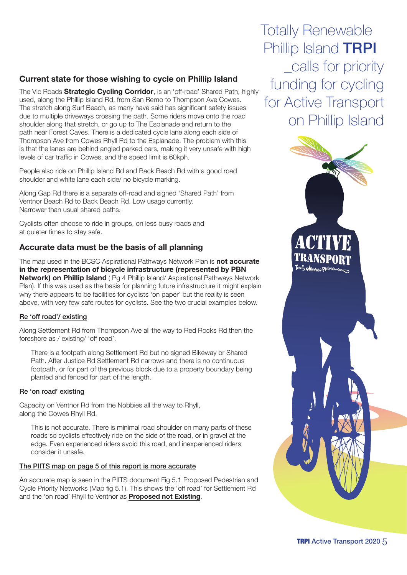### **Current state for those wishing to cycle on Phillip Island**

The Vic Roads **Strategic Cycling Corridor**, is an 'off-road' Shared Path, highly used, along the Phillip Island Rd, from San Remo to Thompson Ave Cowes. The stretch along Surf Beach, as many have said has significant safety issues due to multiple driveways crossing the path. Some riders move onto the road shoulder along that stretch, or go up to The Esplanade and return to the path near Forest Caves. There is a dedicated cycle lane along each side of Thompson Ave from Cowes Rhyll Rd to the Esplanade. The problem with this is that the lanes are behind angled parked cars, making it very unsafe with high levels of car traffic in Cowes, and the speed limit is 60kph.

People also ride on Phillip Island Rd and Back Beach Rd with a good road shoulder and white lane each side/ no bicycle marking.

Along Gap Rd there is a separate off-road and signed 'Shared Path' from Ventnor Beach Rd to Back Beach Rd. Low usage currently. Narrower than usual shared paths.

Cyclists often choose to ride in groups, on less busy roads and at quieter times to stay safe.

### **Accurate data must be the basis of all planning**

The map used in the BCSC Aspirational Pathways Network Plan is **not accurate in the representation of bicycle infrastructure (represented by PBN Network) on Phillip Island** ( Pg 4 Phillip Island/ Aspirational Pathways Network Plan). If this was used as the basis for planning future infrastructure it might explain why there appears to be facilities for cyclists 'on paper' but the reality is seen above, with very few safe routes for cyclists. See the two crucial examples below.

### Re 'off road'/ existing

Along Settlement Rd from Thompson Ave all the way to Red Rocks Rd then the foreshore as / existing/ 'off road'.

There is a footpath along Settlement Rd but no signed Bikeway or Shared Path. After Justice Rd Settlement Rd narrows and there is no continuous footpath, or for part of the previous block due to a property boundary being planted and fenced for part of the length.

### Re 'on road' existing

Capacity on Ventnor Rd from the Nobbies all the way to Rhyll, along the Cowes Rhyll Rd.

This is not accurate. There is minimal road shoulder on many parts of these roads so cyclists effectively ride on the side of the road, or in gravel at the edge. Even experienced riders avoid this road, and inexperienced riders consider it unsafe.

### The PIITS map on page 5 of this report is more accurate

An accurate map is seen in the PIITS document Fig 5.1 Proposed Pedestrian and Cycle Priority Networks (Map fig 5.1). This shows the 'off road' for Settlement Rd and the 'on road' Rhyll to Ventnor as **Proposed not Existing**.

Totally Renewable Phillip Island **TRPI** calls for priority funding for cycling for Active Transport on Phillip Island

# TRANSP Totally reNewable Phillipisland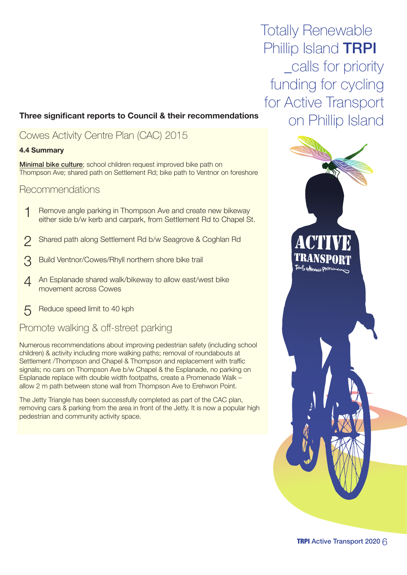## on Phillip Island **Three significant reports to Council & their recommendations**

### Cowes Activity Centre Plan (CAC) 2015

### **4.4 Summary**

Minimal bike culture; school children request improved bike path on Thompson Ave; shared path on Settlement Rd; bike path to Ventnor on foreshore

### Recommendations

- 1 Remove angle parking in Thompson Ave and create new bikeway either side b/w kerb and carpark, from Settlement Rd to Chapel St.
- 2 Shared path along Settlement Rd b/w Seagrove & Coghlan Rd
- 3 Build Ventnor/Cowes/Rhyll northern shore bike trail
- A An Esplanade shared walk/bikeway to allow east/west bike movement across Cowes
- 5 Reduce speed limit to 40 kph

### Promote walking & off-street parking

Numerous recommendations about improving pedestrian safety (including school children) & activity including more walking paths; removal of roundabouts at Settlement /Thompson and Chapel & Thompson and replacement with traffic signals; no cars on Thompson Ave b/w Chapel & the Esplanade, no parking on Esplanade replace with double width footpaths, create a Promenade Walk – allow 2 m path between stone wall from Thompson Ave to Erehwon Point.

The Jetty Triangle has been successfully completed as part of the CAC plan, removing cars & parking from the area in front of the Jetty. It is now a popular high pedestrian and community activity space.

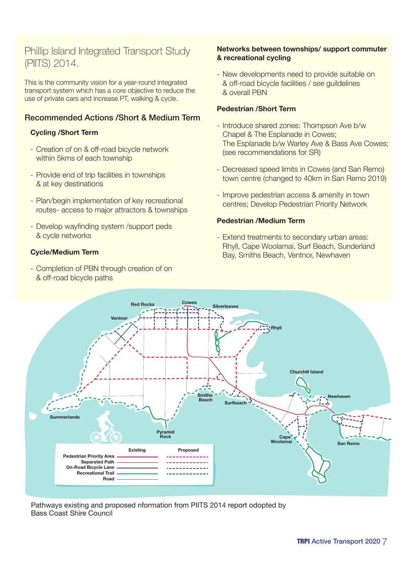### Phillip Island Integrated Transport Study (PIITS) 2014.

This is the community vision for a year-round integrated transport system which has a core objective to reduce the use of private cars and increase PT, walking & cycle.

### Recommended Actions /Short & Medium Term

### **Cycling /Short Term**

- Creation of on & off-road bicycle network within 5kms of each township
- Provide end of trip facilities in townships & at key destinations
- Plan/begin implementation of key recreational routes- access to major attractors & townships
- Develop wayfinding system /support peds & cycle networks

### **Cycle/Medium Term**

- Completion of PBN through creation of on & off-road bicycle paths

### **Networks between townships/ support commuter & recreational cycling**

- New developments need to provide suitable on & off-road bicycle facilities / see guildelines & overall PBN

### **Pedestrian /Short Term**

- Introduce shared zones: Thompson Ave b/w Chapel & The Esplanade in Cowes; The Esplanade b/w Warley Ave & Bass Ave Cowes; (see recommendations for SR)
- Decreased speed limits in Cowes (and San Remo) town centre (changed to 40km in San Remo 2019)
- Improve pedestrian access & amenity in town centres; Develop Pedestrian Priority Network

### **Pedestrian /Medium Term**

- Extend treatments to secondary urban areas: Rhyll, Cape Woolamai, Surf Beach, Sunderland Bay, Smiths Beach, Ventnor, Newhaven



Pathways existing and proposed nformation from PIITS 2014 report odopted by Bass Coast Shire Council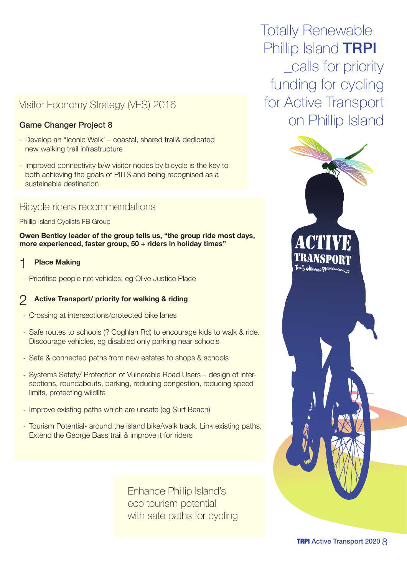### Visitor Economy Strategy (VES) 2016

### Game Changer Project 8

- Develop an "Iconic Walk' coastal, shared trail& dedicated new walking trail infrastructure
- Improved connectivity b/w visitor nodes by bicycle is the key to both achieving the goals of PIITS and being recognised as a sustainable destination

### Bicycle riders recommendations

Phillip Island Cyclists FB Group

**Owen Bentley leader of the group tells us, "the group ride most days, more experienced, faster group, 50 + riders in holiday times"**

### **Place Making**

- Prioritise people not vehicles, eg Olive Justice Place

### 2 **Active Transport/ priority for walking & riding**

- Crossing at intersections/protected bike lanes
- Safe routes to schools (? Coghlan Rd) to encourage kids to walk & ride. Discourage vehicles, eg disabled only parking near schools
- Safe & connected paths from new estates to shops & schools
- Systems Safety/ Protection of Vulnerable Road Users design of intersections, roundabouts, parking, reducing congestion, reducing speed limits, protecting wildlife
- Improve existing paths which are unsafe (eg Surf Beach)
- Tourism Potential- around the island bike/walk track. Link existing paths, Extend the George Bass trail & improve it for riders

Enhance Phillip Island's eco tourism potential with safe paths for cycling

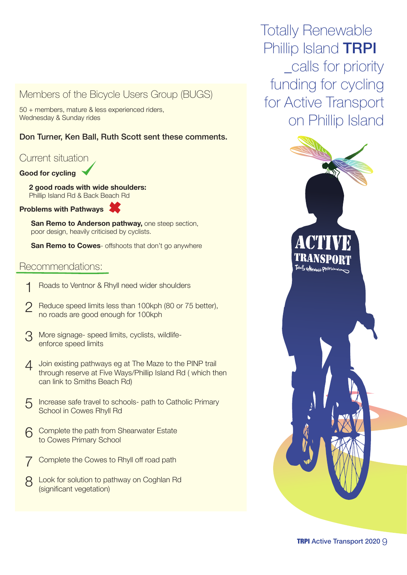### Members of the Bicycle Users Group (BUGS)

50 + members, mature & less experienced riders, Wednesday & Sunday rides

### Don Turner, Ken Ball, Ruth Scott sent these comments.

### Current situation

### **Good for cycling**

**2 good roads with wide shoulders:** Phillip Island Rd & Back Beach Rd

**Problems with Pathways**

**San Remo to Anderson pathway, one steep section,** poor design, heavily criticised by cyclists.

**San Remo to Cowes**- offshoots that don't go anywhere

### Recommendations:

- 1 Roads to Ventnor & Rhyll need wider shoulders
- 2 Reduce speed limits less than 100kph (80 or 75 better), no roads are good enough for 100kph
- 3 More signage- speed limits, cyclists, wildlifeenforce speed limits
- **1** Join existing pathways eg at The Maze to the PINP trail through reserve at Five Ways/Phillip Island Rd ( which then can link to Smiths Beach Rd)
- 5 Increase safe travel to schools- path to Catholic Primary School in Cowes Rhyll Rd
- 6 Complete the path from Shearwater Estate to Cowes Primary School
- Complete the Cowes to Rhyll off road path
- 8 Look for solution to pathway on Coghlan Rd (significant vegetation)

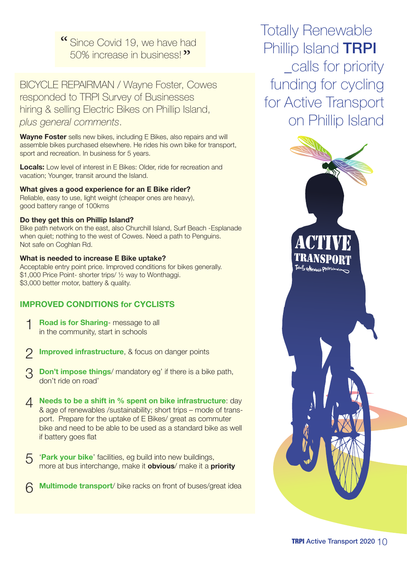Since Covid 19, we have had 50% increase in business!

BICYCLE REPAIRMAN / Wayne Foster, Cowes responded to TRPI Survey of Businesses hiring & selling Electric Bikes on Phillip Island, *plus general comments*.

**Wayne Foster** sells new bikes, including E Bikes, also repairs and will assemble bikes purchased elsewhere. He rides his own bike for transport, sport and recreation. In business for 5 years.

**Locals:** Low level of interest in E Bikes: Older, ride for recreation and vacation; Younger, transit around the Island.

**What gives a good experience for an E Bike rider?** Reliable, easy to use, light weight (cheaper ones are heavy), good battery range of 100kms

### **Do they get this on Phillip Island?**

Bike path network on the east, also Churchill Island, Surf Beach -Esplanade when quiet; nothing to the west of Cowes. Need a path to Penguins. Not safe on Coghlan Rd.

### **What is needed to increase E Bike uptake?**

Acceptable entry point price. Improved conditions for bikes generally. \$1,000 Price Point- shorter trips/ ½ way to Wonthaggi. \$3,000 better motor, battery & quality.

### **IMPROVED CONDITIONS for CYCLISTS**

- 1 **Road is for Sharing** message to all in the community, start in schools
- 2 **Improved infrastructure**, & focus on danger points
- 3 **Don't impose things**/ mandatory eg' if there is a bike path, don't ride on road'
- 4 **Needs to be a shift in % spent on bike infrastructure**: day & age of renewables /sustainability; short trips – mode of transport. Prepare for the uptake of E Bikes/ great as commuter bike and need to be able to be used as a standard bike as well if battery goes flat
- 5 '**Park your bike**' facilities, eg build into new buildings, more at bus interchange, make it **obvious**/ make it a **priority**
- 6 **Multimode transport**/ bike racks on front of buses/great idea

Totally Renewable Phillip Island **TRPI** \_calls for priority funding for cycling for Active Transport on Phillip Island

# TRANS Totally reNewcate Dhillipista